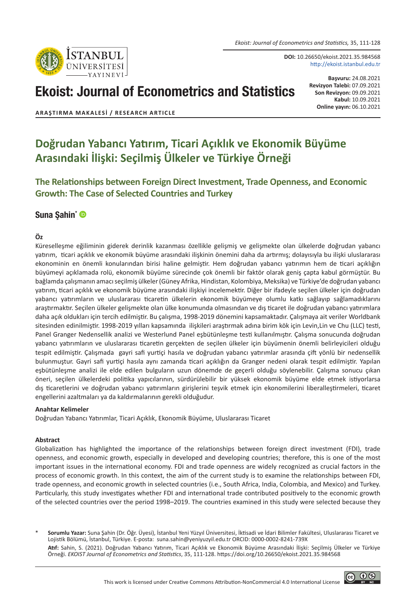

**DOI:** 10.26650/ekoist.2021.35.984568 http://ekoist.istanbul.edu.tr

# Ekoist: Journal of Econometrics and Statistics

**Başvuru:** 24.08.2021 **Revizyon Talebi:** 07.09.2021 **Son Revizyon:** 09.09.2021 **Kabul:** 10.09.2021 **Online yayın:** 06.10.2021

**ARAŞTIRMA MAKALESI / RESEARCH ARTICLE**

# **Doğrudan Yabancı Yatırım, Ticari Açıklık ve Ekonomik Büyüme Arasındaki İlişki: Seçilmiş Ülkeler ve Türkiye Örneği**

**The Relationships between Foreign Direct Investment, Trade Openness, and Economic Growth: The Case of Selected Countries and Turkey**

# [Suna Şahin\\*](https://orcid.org/0000-0002-8241-739X) <sup>®</sup>

#### **Öz**

Küreselleşme eğiliminin giderek derinlik kazanması özellikle gelişmiş ve gelişmekte olan ülkelerde doğrudan yabancı yatırım, ticari açıklık ve ekonomik büyüme arasındaki ilişkinin önemini daha da artırmış; dolayısıyla bu ilişki uluslararası ekonominin en önemli konularından birisi haline gelmiştir. Hem doğrudan yabancı yatırımın hem de ticari açıklığın büyümeyi açıklamada rolü, ekonomik büyüme sürecinde çok önemli bir faktör olarak geniş çapta kabul görmüştür. Bu bağlamda çalışmanın amacı seçilmiş ülkeler (Güney Afrika, Hindistan, Kolombiya, Meksika) ve Türkiye'de doğrudan yabancı yatırım, ticari açıklık ve ekonomik büyüme arasındaki ilişkiyi incelemektir. Diğer bir ifadeyle seçilen ülkeler için doğrudan yabancı yatırımların ve uluslararası ticaretin ülkelerin ekonomik büyümeye olumlu katkı sağlayıp sağlamadıklarını araştırmaktır. Seçilen ülkeler gelişmekte olan ülke konumunda olmasından ve dış ticaret ile doğrudan yabancı yatırımlara daha açık oldukları için tercih edilmiştir. Bu çalışma, 1998-2019 dönemini kapsamaktadır. Çalışmaya ait veriler Worldbank sitesinden edinilmiştir. 1998-2019 yılları kapsamında ilişkileri araştırmak adına birim kök için Levin,Lin ve Chu (LLC) testi, Panel Granger Nedensellik analizi ve Westerlund Panel eşbütünleşme testi kullanılmıştır. Çalışma sonucunda doğrudan yabancı yatırımların ve uluslararası ticaretin gerçekten de seçilen ülkeler için büyümenin önemli belirleyicileri olduğu tespit edilmiştir. Çalışmada gayri safi yurtiçi hasıla ve doğrudan yabancı yatırımlar arasında çift yönlü bir nedensellik bulunmuştur. Gayri safi yurtiçi hasıla aynı zamanda ticari açıklığın da Granger nedeni olarak tespit edilmiştir. Yapılan eşbütünleşme analizi ile elde edilen bulguların uzun dönemde de geçerli olduğu söylenebilir. Çalışma sonucu çıkan öneri, seçilen ülkelerdeki politika yapıcılarının, sürdürülebilir bir yüksek ekonomik büyüme elde etmek istiyorlarsa dış ticaretlerini ve doğrudan yabancı yatırımların girişlerini teşvik etmek için ekonomilerini liberalleştirmeleri, ticaret engellerini azaltmaları ya da kaldırmalarının gerekli olduğudur.

#### **Anahtar Kelimeler**

Doğrudan Yabancı Yatırımlar, Ticari Açıklık, Ekonomik Büyüme, Uluslararası Ticaret

#### **Abstract**

Globalization has highlighted the importance of the relationships between foreign direct investment (FDI), trade openness, and economic growth, especially in developed and developing countries; therefore, this is one of the most important issues in the international economy. FDI and trade openness are widely recognized as crucial factors in the process of economic growth. In this context, the aim of the current study is to examine the relationships between FDI, trade openness, and economic growth in selected countries (i.e., South Africa, India, Colombia, and Mexico) and Turkey. Particularly, this study investigates whether FDI and international trade contributed positively to the economic growth of the selected countries over the period 1998–2019. The countries examined in this study were selected because they

\* **Sorumlu Yazar:** Suna Şahin (Dr. Öğr. Üyesi), İstanbul Yeni Yüzyıl Üniversitesi, İktisadi ve İdari Bilimler Fakültesi, Uluslararası Ticaret ve Lojistik Bölümü, İstanbul, Türkiye. E-posta: suna.sahin@yeniyuzyil.edu.tr ORCID: 0000-0002-8241-739X

**Atıf:** Sahin, S. (2021). Doğrudan Yabancı Yatırım, Ticari Açıklık ve Ekonomik Büyüme Arasındaki İlişki: Seçilmiş Ülkeler ve Türkiye Örneği. *EKOIST Journal of Econometrics and Statistics*, 35, 111-128. https://doi.org/10.26650/ekoist.2021.35.984568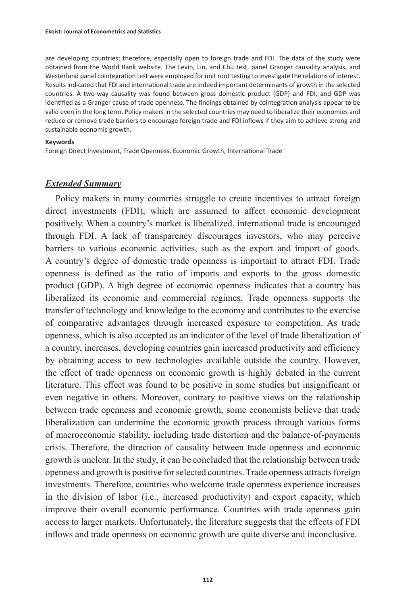are developing countries; therefore, especially open to foreign trade and FDI. The data of the study were obtained from the World Bank website. The Levin, Lin, and Chu test, panel Granger causality analysis, and Westerlund panel cointegration test were employed for unit root testing to investigate the relations of interest. Results indicated that FDI and international trade are indeed important determinants of growth in the selected countries. A two-way causality was found between gross domestic product (GDP) and FDI, and GDP was identified as a Granger cause of trade openness. The findings obtained by cointegration analysis appear to be valid even in the long term. Policy makers in the selected countries may need to liberalize their economies and reduce or remove trade barriers to encourage foreign trade and FDI inflows if they aim to achieve strong and sustainable economic growth.

#### **Keywords**

Foreign Direct Investment, Trade Openness, Economic Growth, International Trade

#### *Extended Summary*

Policy makers in many countries struggle to create incentives to attract foreign direct investments (FDI), which are assumed to affect economic development positively. When a country's market is liberalized, international trade is encouraged through FDI. A lack of transparency discourages investors, who may perceive barriers to various economic activities, such as the export and import of goods. A country's degree of domestic trade openness is important to attract FDI. Trade openness is defined as the ratio of imports and exports to the gross domestic product (GDP). A high degree of economic openness indicates that a country has liberalized its economic and commercial regimes. Trade openness supports the transfer of technology and knowledge to the economy and contributes to the exercise of comparative advantages through increased exposure to competition. As trade openness, which is also accepted as an indicator of the level of trade liberalization of a country, increases, developing countries gain increased productivity and efficiency by obtaining access to new technologies available outside the country. However, the effect of trade openness on economic growth is highly debated in the current literature. This effect was found to be positive in some studies but insignificant or even negative in others. Moreover, contrary to positive views on the relationship between trade openness and economic growth, some economists believe that trade liberalization can undermine the economic growth process through various forms of macroeconomic stability, including trade distortion and the balance-of-payments crisis. Therefore, the direction of causality between trade openness and economic growth is unclear. In the study, it can be concluded that the relationship between trade openness and growth is positive for selected countries. Trade openness attracts foreign investments. Therefore, countries who welcome trade openness experience increases in the division of labor (i.e., increased productivity) and export capacity, which improve their overall economic performance. Countries with trade openness gain access to larger markets. Unfortunately, the literature suggests that the effects of FDI inflows and trade openness on economic growth are quite diverse and inconclusive.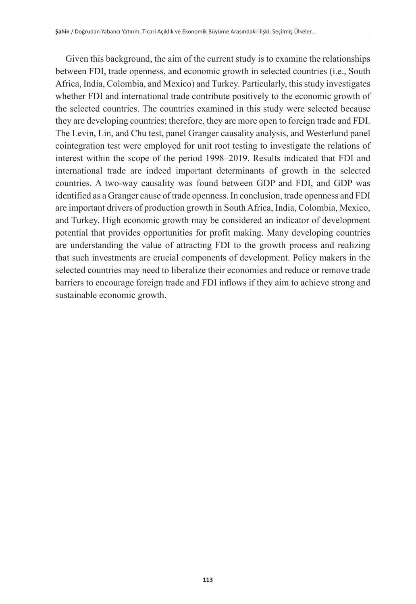Given this background, the aim of the current study is to examine the relationships between FDI, trade openness, and economic growth in selected countries (i.e., South Africa, India, Colombia, and Mexico) and Turkey. Particularly, this study investigates whether FDI and international trade contribute positively to the economic growth of the selected countries. The countries examined in this study were selected because they are developing countries; therefore, they are more open to foreign trade and FDI. The Levin, Lin, and Chu test, panel Granger causality analysis, and Westerlund panel cointegration test were employed for unit root testing to investigate the relations of interest within the scope of the period 1998–2019. Results indicated that FDI and international trade are indeed important determinants of growth in the selected countries. A two-way causality was found between GDP and FDI, and GDP was identified as a Granger cause of trade openness. In conclusion, trade openness and FDI are important drivers of production growth in South Africa, India, Colombia, Mexico, and Turkey. High economic growth may be considered an indicator of development potential that provides opportunities for profit making. Many developing countries are understanding the value of attracting FDI to the growth process and realizing that such investments are crucial components of development. Policy makers in the selected countries may need to liberalize their economies and reduce or remove trade barriers to encourage foreign trade and FDI inflows if they aim to achieve strong and sustainable economic growth.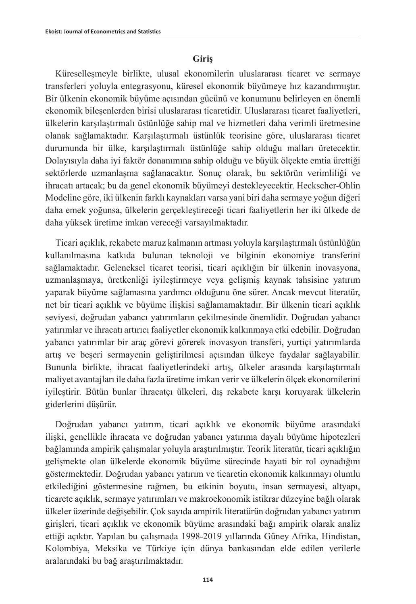#### **Giriş**

Küreselleşmeyle birlikte, ulusal ekonomilerin uluslararası ticaret ve sermaye transferleri yoluyla entegrasyonu, küresel ekonomik büyümeye hız kazandırmıştır. Bir ülkenin ekonomik büyüme açısından gücünü ve konumunu belirleyen en önemli ekonomik bileşenlerden birisi uluslararası ticaretidir. Uluslararası ticaret faaliyetleri, ülkelerin karşılaştırmalı üstünlüğe sahip mal ve hizmetleri daha verimli üretmesine olanak sağlamaktadır. Karşılaştırmalı üstünlük teorisine göre, uluslararası ticaret durumunda bir ülke, karşılaştırmalı üstünlüğe sahip olduğu malları üretecektir. Dolayısıyla daha iyi faktör donanımına sahip olduğu ve büyük ölçekte emtia ürettiği sektörlerde uzmanlaşma sağlanacaktır. Sonuç olarak, bu sektörün verimliliği ve ihracatı artacak; bu da genel ekonomik büyümeyi destekleyecektir. Heckscher-Ohlin Modeline göre, iki ülkenin farklı kaynakları varsa yani biri daha sermaye yoğun diğeri daha emek yoğunsa, ülkelerin gerçekleştireceği ticari faaliyetlerin her iki ülkede de daha yüksek üretime imkan vereceği varsayılmaktadır.

Ticari açıklık, rekabete maruz kalmanın artması yoluyla karşılaştırmalı üstünlüğün kullanılmasına katkıda bulunan teknoloji ve bilginin ekonomiye transferini sağlamaktadır. Geleneksel ticaret teorisi, ticari açıklığın bir ülkenin inovasyona, uzmanlaşmaya, üretkenliği iyileştirmeye veya gelişmiş kaynak tahsisine yatırım yaparak büyüme sağlamasına yardımcı olduğunu öne sürer. Ancak mevcut literatür, net bir ticari açıklık ve büyüme ilişkisi sağlamamaktadır. Bir ülkenin ticari açıklık seviyesi, doğrudan yabancı yatırımların çekilmesinde önemlidir. Doğrudan yabancı yatırımlar ve ihracatı artırıcı faaliyetler ekonomik kalkınmaya etki edebilir. Doğrudan yabancı yatırımlar bir araç görevi görerek inovasyon transferi, yurtiçi yatırımlarda artış ve beşeri sermayenin geliştirilmesi açısından ülkeye faydalar sağlayabilir. Bununla birlikte, ihracat faaliyetlerindeki artış, ülkeler arasında karşılaştırmalı maliyet avantajları ile daha fazla üretime imkan verir ve ülkelerin ölçek ekonomilerini iyileştirir. Bütün bunlar ihracatçı ülkeleri, dış rekabete karşı koruyarak ülkelerin giderlerini düşürür.

Doğrudan yabancı yatırım, ticari açıklık ve ekonomik büyüme arasındaki ilişki, genellikle ihracata ve doğrudan yabancı yatırıma dayalı büyüme hipotezleri bağlamında ampirik çalışmalar yoluyla araştırılmıştır. Teorik literatür, ticari açıklığın gelişmekte olan ülkelerde ekonomik büyüme sürecinde hayati bir rol oynadığını göstermektedir. Doğrudan yabancı yatırım ve ticaretin ekonomik kalkınmayı olumlu etkilediğini göstermesine rağmen, bu etkinin boyutu, insan sermayesi, altyapı, ticarete açıklık, sermaye yatırımları ve makroekonomik istikrar düzeyine bağlı olarak ülkeler üzerinde değişebilir. Çok sayıda ampirik literatürün doğrudan yabancı yatırım girişleri, ticari açıklık ve ekonomik büyüme arasındaki bağı ampirik olarak analiz ettiği açıktır. Yapılan bu çalışmada 1998-2019 yıllarında Güney Afrika, Hindistan, Kolombiya, Meksika ve Türkiye için dünya bankasından elde edilen verilerle aralarındaki bu bağ araştırılmaktadır.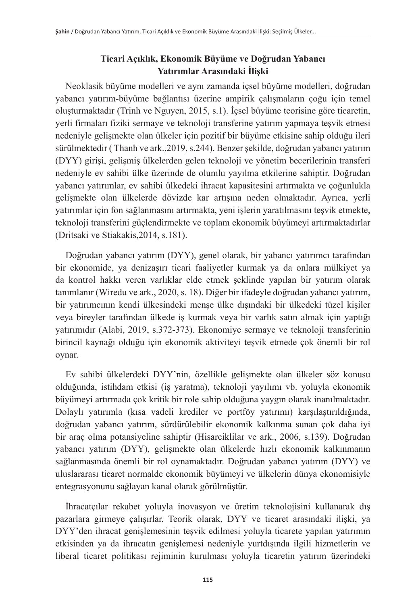# **Ticari Açıklık, Ekonomik Büyüme ve Doğrudan Yabancı Yatırımlar Arasındaki İlişki**

Neoklasik büyüme modelleri ve aynı zamanda içsel büyüme modelleri, doğrudan yabancı yatırım-büyüme bağlantısı üzerine ampirik çalışmaların çoğu için temel oluşturmaktadır (Trinh ve Nguyen, 2015, s.1). İçsel büyüme teorisine göre ticaretin, yerli firmaları fiziki sermaye ve teknoloji transferine yatırım yapmaya teşvik etmesi nedeniyle gelişmekte olan ülkeler için pozitif bir büyüme etkisine sahip olduğu ileri sürülmektedir ( Thanh ve ark.,2019, s.244). Benzer şekilde, doğrudan yabancı yatırım (DYY) girişi, gelişmiş ülkelerden gelen teknoloji ve yönetim becerilerinin transferi nedeniyle ev sahibi ülke üzerinde de olumlu yayılma etkilerine sahiptir. Doğrudan yabancı yatırımlar, ev sahibi ülkedeki ihracat kapasitesini artırmakta ve çoğunlukla gelişmekte olan ülkelerde dövizde kar artışına neden olmaktadır. Ayrıca, yerli yatırımlar için fon sağlanmasını artırmakta, yeni işlerin yaratılmasını teşvik etmekte, teknoloji transferini güçlendirmekte ve toplam ekonomik büyümeyi artırmaktadırlar (Dritsaki ve Stiakakis,2014, s.181).

Doğrudan yabancı yatırım (DYY), genel olarak, bir yabancı yatırımcı tarafından bir ekonomide, ya denizaşırı ticari faaliyetler kurmak ya da onlara mülkiyet ya da kontrol hakkı veren varlıklar elde etmek şeklinde yapılan bir yatırım olarak tanımlanır (Wiredu ve ark., 2020, s. 18). Diğer bir ifadeyle doğrudan yabancı yatırım, bir yatırımcının kendi ülkesindeki menşe ülke dışındaki bir ülkedeki tüzel kişiler veya bireyler tarafından ülkede iş kurmak veya bir varlık satın almak için yaptığı yatırımıdır (Alabi, 2019, s.372-373). Ekonomiye sermaye ve teknoloji transferinin birincil kaynağı olduğu için ekonomik aktiviteyi teşvik etmede çok önemli bir rol oynar.

Ev sahibi ülkelerdeki DYY'nin, özellikle gelişmekte olan ülkeler söz konusu olduğunda, istihdam etkisi (iş yaratma), teknoloji yayılımı vb. yoluyla ekonomik büyümeyi artırmada çok kritik bir role sahip olduğuna yaygın olarak inanılmaktadır. Dolaylı yatırımla (kısa vadeli krediler ve portföy yatırımı) karşılaştırıldığında, doğrudan yabancı yatırım, sürdürülebilir ekonomik kalkınma sunan çok daha iyi bir araç olma potansiyeline sahiptir (Hisarciklilar ve ark., 2006, s.139). Doğrudan yabancı yatırım (DYY), gelişmekte olan ülkelerde hızlı ekonomik kalkınmanın sağlanmasında önemli bir rol oynamaktadır. Doğrudan yabancı yatırım (DYY) ve uluslararası ticaret normalde ekonomik büyümeyi ve ülkelerin dünya ekonomisiyle entegrasyonunu sağlayan kanal olarak görülmüştür.

İhracatçılar rekabet yoluyla inovasyon ve üretim teknolojisini kullanarak dış pazarlara girmeye çalışırlar. Teorik olarak, DYY ve ticaret arasındaki ilişki, ya DYY'den ihracat genişlemesinin teşvik edilmesi yoluyla ticarete yapılan yatırımın etkisinden ya da ihracatın genişlemesi nedeniyle yurtdışında ilgili hizmetlerin ve liberal ticaret politikası rejiminin kurulması yoluyla ticaretin yatırım üzerindeki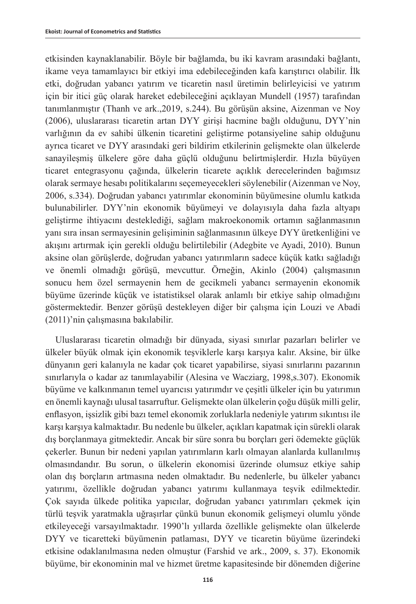etkisinden kaynaklanabilir. Böyle bir bağlamda, bu iki kavram arasındaki bağlantı, ikame veya tamamlayıcı bir etkiyi ima edebileceğinden kafa karıştırıcı olabilir. İlk etki, doğrudan yabancı yatırım ve ticaretin nasıl üretimin belirleyicisi ve yatırım için bir itici güç olarak hareket edebileceğini açıklayan Mundell (1957) tarafından tanımlanmıştır (Thanh ve ark.,2019, s.244). Bu görüşün aksine, Aizenman ve Noy (2006), uluslararası ticaretin artan DYY girişi hacmine bağlı olduğunu, DYY'nin varlığının da ev sahibi ülkenin ticaretini geliştirme potansiyeline sahip olduğunu ayrıca ticaret ve DYY arasındaki geri bildirim etkilerinin gelişmekte olan ülkelerde sanayileşmiş ülkelere göre daha güçlü olduğunu belirtmişlerdir. Hızla büyüyen ticaret entegrasyonu çağında, ülkelerin ticarete açıklık derecelerinden bağımsız olarak sermaye hesabı politikalarını seçemeyecekleri söylenebilir (Aizenman ve Noy, 2006, s.334). Doğrudan yabancı yatırımlar ekonominin büyümesine olumlu katkıda bulunabilirler. DYY'nin ekonomik büyümeyi ve dolayısıyla daha fazla altyapı geliştirme ihtiyacını desteklediği, sağlam makroekonomik ortamın sağlanmasının yanı sıra insan sermayesinin gelişiminin sağlanmasının ülkeye DYY üretkenliğini ve akışını artırmak için gerekli olduğu belirtilebilir (Adegbite ve Ayadi, 2010). Bunun aksine olan görüşlerde, doğrudan yabancı yatırımların sadece küçük katkı sağladığı ve önemli olmadığı görüşü, mevcuttur. Örneğin, Akinlo (2004) çalışmasının sonucu hem özel sermayenin hem de gecikmeli yabancı sermayenin ekonomik büyüme üzerinde küçük ve istatistiksel olarak anlamlı bir etkiye sahip olmadığını göstermektedir. Benzer görüşü destekleyen diğer bir çalışma için Louzi ve Abadi (2011)'nin çalışmasına bakılabilir.

Uluslararası ticaretin olmadığı bir dünyada, siyasi sınırlar pazarları belirler ve ülkeler büyük olmak için ekonomik teşviklerle karşı karşıya kalır. Aksine, bir ülke dünyanın geri kalanıyla ne kadar çok ticaret yapabilirse, siyasi sınırlarını pazarının sınırlarıyla o kadar az tanımlayabilir (Alesina ve Wacziarg, 1998,s.307). Ekonomik büyüme ve kalkınmanın temel uyarıcısı yatırımdır ve çeşitli ülkeler için bu yatırımın en önemli kaynağı ulusal tasarruftur. Gelişmekte olan ülkelerin çoğu düşük milli gelir, enflasyon, işsizlik gibi bazı temel ekonomik zorluklarla nedeniyle yatırım sıkıntısı ile karşı karşıya kalmaktadır. Bu nedenle bu ülkeler, açıkları kapatmak için sürekli olarak dış borçlanmaya gitmektedir. Ancak bir süre sonra bu borçları geri ödemekte güçlük çekerler. Bunun bir nedeni yapılan yatırımların karlı olmayan alanlarda kullanılmış olmasındandır. Bu sorun, o ülkelerin ekonomisi üzerinde olumsuz etkiye sahip olan dış borçların artmasına neden olmaktadır. Bu nedenlerle, bu ülkeler yabancı yatırımı, özellikle doğrudan yabancı yatırımı kullanmaya teşvik edilmektedir. Çok sayıda ülkede politika yapıcılar, doğrudan yabancı yatırımları çekmek için türlü teşvik yaratmakla uğraşırlar çünkü bunun ekonomik gelişmeyi olumlu yönde etkileyeceği varsayılmaktadır. 1990'lı yıllarda özellikle gelişmekte olan ülkelerde DYY ve ticaretteki büyümenin patlaması, DYY ve ticaretin büyüme üzerindeki etkisine odaklanılmasına neden olmuştur (Farshid ve ark., 2009, s. 37). Ekonomik büyüme, bir ekonominin mal ve hizmet üretme kapasitesinde bir dönemden diğerine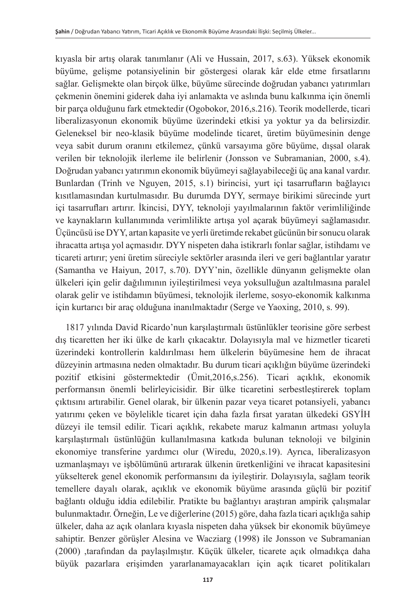kıyasla bir artış olarak tanımlanır (Ali ve Hussain, 2017, s.63). Yüksek ekonomik büyüme, gelişme potansiyelinin bir göstergesi olarak kâr elde etme fırsatlarını sağlar. Gelişmekte olan birçok ülke, büyüme sürecinde doğrudan yabancı yatırımları çekmenin önemini giderek daha iyi anlamakta ve aslında bunu kalkınma için önemli bir parça olduğunu fark etmektedir (Ogobokor, 2016,s.216). Teorik modellerde, ticari liberalizasyonun ekonomik büyüme üzerindeki etkisi ya yoktur ya da belirsizdir. Geleneksel bir neo-klasik büyüme modelinde ticaret, üretim büyümesinin denge veya sabit durum oranını etkilemez, çünkü varsayıma göre büyüme, dışsal olarak verilen bir teknolojik ilerleme ile belirlenir (Jonsson ve Subramanian, 2000, s.4). Doğrudan yabancı yatırımın ekonomik büyümeyi sağlayabileceği üç ana kanal vardır. Bunlardan (Trinh ve Nguyen, 2015, s.1) birincisi, yurt içi tasarrufların bağlayıcı kısıtlamasından kurtulmasıdır. Bu durumda DYY, sermaye birikimi sürecinde yurt içi tasarrufları artırır. İkincisi, DYY, teknoloji yayılmalarının faktör verimliliğinde ve kaynakların kullanımında verimlilikte artışa yol açarak büyümeyi sağlamasıdır. Üçüncüsü ise DYY, artan kapasite ve yerli üretimde rekabet gücünün bir sonucu olarak ihracatta artışa yol açmasıdır. DYY nispeten daha istikrarlı fonlar sağlar, istihdamı ve ticareti artırır; yeni üretim süreciyle sektörler arasında ileri ve geri bağlantılar yaratır (Samantha ve Haiyun, 2017, s.70). DYY'nin, özellikle dünyanın gelişmekte olan ülkeleri için gelir dağılımının iyileştirilmesi veya yoksulluğun azaltılmasına paralel olarak gelir ve istihdamın büyümesi, teknolojik ilerleme, sosyo-ekonomik kalkınma için kurtarıcı bir araç olduğuna inanılmaktadır (Serge ve Yaoxing, 2010, s. 99).

1817 yılında David Ricardo'nun karşılaştırmalı üstünlükler teorisine göre serbest dış ticaretten her iki ülke de karlı çıkacaktır. Dolayısıyla mal ve hizmetler ticareti üzerindeki kontrollerin kaldırılması hem ülkelerin büyümesine hem de ihracat düzeyinin artmasına neden olmaktadır. Bu durum ticari açıklığın büyüme üzerindeki pozitif etkisini göstermektedir (Ümit,2016,s.256). Ticari açıklık, ekonomik performansın önemli belirleyicisidir. Bir ülke ticaretini serbestleştirerek toplam çıktısını artırabilir. Genel olarak, bir ülkenin pazar veya ticaret potansiyeli, yabancı yatırımı çeken ve böylelikle ticaret için daha fazla fırsat yaratan ülkedeki GSYİH düzeyi ile temsil edilir. Ticari açıklık, rekabete maruz kalmanın artması yoluyla karşılaştırmalı üstünlüğün kullanılmasına katkıda bulunan teknoloji ve bilginin ekonomiye transferine yardımcı olur (Wiredu, 2020,s.19). Ayrıca, liberalizasyon uzmanlaşmayı ve işbölümünü artırarak ülkenin üretkenliğini ve ihracat kapasitesini yükselterek genel ekonomik performansını da iyileştirir. Dolayısıyla, sağlam teorik temellere dayalı olarak, açıklık ve ekonomik büyüme arasında güçlü bir pozitif bağlantı olduğu iddia edilebilir. Pratikte bu bağlantıyı araştıran ampirik çalışmalar bulunmaktadır. Örneğin, Le ve diğerlerine (2015) göre, daha fazla ticari açıklığa sahip ülkeler, daha az açık olanlara kıyasla nispeten daha yüksek bir ekonomik büyümeye sahiptir. Benzer görüşler Alesina ve Wacziarg (1998) ile Jonsson ve Subramanian (2000) ,tarafından da paylaşılmıştır. Küçük ülkeler, ticarete açık olmadıkça daha büyük pazarlara erişimden yararlanamayacakları için açık ticaret politikaları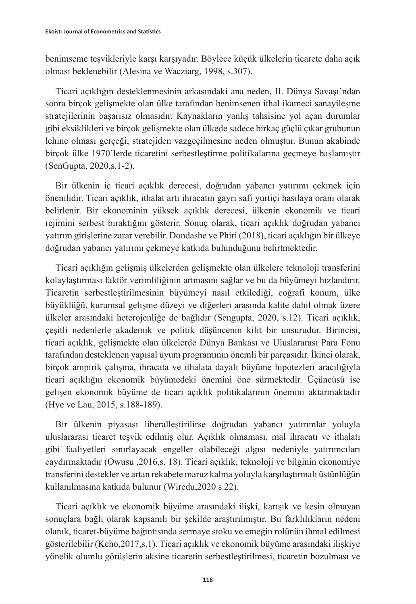benimseme teşvikleriyle karşı karşıyadır. Böylece küçük ülkelerin ticarete daha açık olması beklenebilir (Alesina ve Wacziarg, 1998, s.307).

Ticari açıklığın desteklenmesinin arkasındaki ana neden, II. Dünya Savaşı'ndan sonra birçok gelişmekte olan ülke tarafından benimsenen ithal ikameci sanayileşme stratejilerinin başarısız olmasıdır. Kaynakların yanlış tahsisine yol açan durumlar gibi eksiklikleri ve birçok gelişmekte olan ülkede sadece birkaç güçlü çıkar grubunun lehine olması gerçeği, stratejiden vazgeçilmesine neden olmuştur. Bunun akabinde birçok ülke 1970'lerde ticaretini serbestleştirme politikalarına geçmeye başlamıştır (SenGupta, 2020,s.1-2).

Bir ülkenin iç ticari açıklık derecesi, doğrudan yabancı yatırımı çekmek için önemlidir. Ticari açıklık, ithalat artı ihracatın gayri safi yurtiçi hasılaya oranı olarak belirlenir. Bir ekonominin yüksek açıklık derecesi, ülkenin ekonomik ve ticari rejimini serbest bıraktığını gösterir. Sonuç olarak, ticari açıklık doğrudan yabancı yatırım girişlerine zarar verebilir. Dondashe ve Phiri (2018), ticari açıklığın bir ülkeye doğrudan yabancı yatırımı çekmeye katkıda bulunduğunu belirtmektedir.

Ticari açıklığın gelişmiş ülkelerden gelişmekte olan ülkelere teknoloji transferini kolaylaştırması faktör verimliliğinin artmasını sağlar ve bu da büyümeyi hızlandırır. Ticaretin serbestleştirilmesinin büyümeyi nasıl etkilediği, coğrafi konum, ülke büyüklüğü, kurumsal gelişme düzeyi ve diğerleri arasında kalite dahil olmak üzere ülkeler arasındaki heterojenliğe de bağlıdır (Sengupta, 2020, s.12). Ticari açıklık, çeşitli nedenlerle akademik ve politik düşüncenin kilit bir unsurudur. Birincisi, ticari açıklık, gelişmekte olan ülkelerde Dünya Bankası ve Uluslararası Para Fonu tarafından desteklenen yapısal uyum programının önemli bir parçasıdır. İkinci olarak, birçok ampirik çalışma, ihracata ve ithalata dayalı büyüme hipotezleri aracılığıyla ticari açıklığın ekonomik büyümedeki önemini öne sürmektedir. Üçüncüsü ise gelişen ekonomik büyüme de ticari açıklık politikalarının önemini aktarmaktadır (Hye ve Lau, 2015, s.188-189).

Bir ülkenin piyasası liberalleştirilirse doğrudan yabancı yatırımlar yoluyla uluslararası ticaret teşvik edilmiş olur. Açıklık olmaması, mal ihracatı ve ithalatı gibi faaliyetleri sınırlayacak engeller olabileceği algısı nedeniyle yatırımcıları caydırmaktadır (Owusu ,2016,s. 18). Ticari açıklık, teknoloji ve bilginin ekonomiye transferini destekler ve artan rekabete maruz kalma yoluyla karşılaştırmalı üstünlüğün kullanılmasına katkıda bulunur (Wiredu,2020 s.22).

Ticari açıklık ve ekonomik büyüme arasındaki ilişki, karışık ve kesin olmayan sonuçlara bağlı olarak kapsamlı bir şekilde araştırılmıştır. Bu farklılıkların nedeni olarak, ticaret-büyüme bağıntısında sermaye stoku ve emeğin rolünün ihmal edilmesi gösterilebilir (Keho,2017,s.1). Ticari açıklık ve ekonomik büyüme arasındaki ilişkiye yönelik olumlu görüşlerin aksine ticaretin serbestleştirilmesi, ticaretin bozulması ve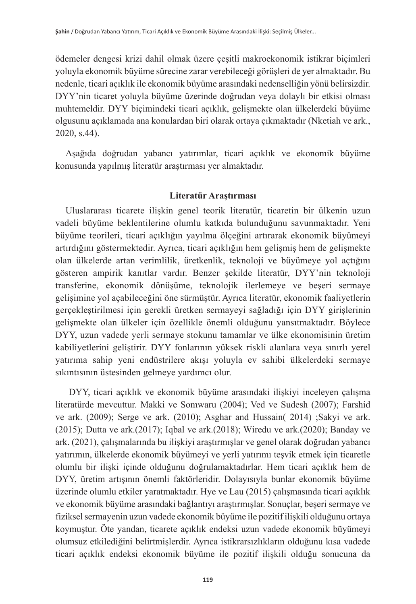ödemeler dengesi krizi dahil olmak üzere çeşitli makroekonomik istikrar biçimleri yoluyla ekonomik büyüme sürecine zarar verebileceği görüşleri de yer almaktadır. Bu nedenle, ticari açıklık ile ekonomik büyüme arasındaki nedenselliğin yönü belirsizdir. DYY'nin ticaret yoluyla büyüme üzerinde doğrudan veya dolaylı bir etkisi olması muhtemeldir. DYY biçimindeki ticari açıklık, gelişmekte olan ülkelerdeki büyüme olgusunu açıklamada ana konulardan biri olarak ortaya çıkmaktadır (Nketiah ve ark., 2020, s.44).

Aşağıda doğrudan yabancı yatırımlar, ticari açıklık ve ekonomik büyüme konusunda yapılmış literatür araştırması yer almaktadır.

# **Literatür Araştırması**

Uluslararası ticarete ilişkin genel teorik literatür, ticaretin bir ülkenin uzun vadeli büyüme beklentilerine olumlu katkıda bulunduğunu savunmaktadır. Yeni büyüme teorileri, ticari açıklığın yayılma ölçeğini artırarak ekonomik büyümeyi artırdığını göstermektedir. Ayrıca, ticari açıklığın hem gelişmiş hem de gelişmekte olan ülkelerde artan verimlilik, üretkenlik, teknoloji ve büyümeye yol açtığını gösteren ampirik kanıtlar vardır. Benzer şekilde literatür, DYY'nin teknoloji transferine, ekonomik dönüşüme, teknolojik ilerlemeye ve beşeri sermaye gelişimine yol açabileceğini öne sürmüştür. Ayrıca literatür, ekonomik faaliyetlerin gerçekleştirilmesi için gerekli üretken sermayeyi sağladığı için DYY girişlerinin gelişmekte olan ülkeler için özellikle önemli olduğunu yansıtmaktadır. Böylece DYY, uzun vadede yerli sermaye stokunu tamamlar ve ülke ekonomisinin üretim kabiliyetlerini geliştirir. DYY fonlarının yüksek riskli alanlara veya sınırlı yerel yatırıma sahip yeni endüstrilere akışı yoluyla ev sahibi ülkelerdeki sermaye sıkıntısının üstesinden gelmeye yardımcı olur.

 DYY, ticari açıklık ve ekonomik büyüme arasındaki ilişkiyi inceleyen çalışma literatürde mevcuttur. Makki ve Somwaru (2004); Ved ve Sudesh (2007); Farshid ve ark. (2009); Serge ve ark. (2010); Asghar and Hussain( 2014) ;Sakyi ve ark. (2015); Dutta ve ark.(2017); Iqbal ve ark.(2018); Wiredu ve ark.(2020); Banday ve ark. (2021), çalışmalarında bu ilişkiyi araştırmışlar ve genel olarak doğrudan yabancı yatırımın, ülkelerde ekonomik büyümeyi ve yerli yatırımı teşvik etmek için ticaretle olumlu bir ilişki içinde olduğunu doğrulamaktadırlar. Hem ticari açıklık hem de DYY, üretim artışının önemli faktörleridir. Dolayısıyla bunlar ekonomik büyüme üzerinde olumlu etkiler yaratmaktadır. Hye ve Lau (2015) çalışmasında ticari açıklık ve ekonomik büyüme arasındaki bağlantıyı araştırmışlar. Sonuçlar, beşeri sermaye ve fiziksel sermayenin uzun vadede ekonomik büyüme ile pozitif ilişkili olduğunu ortaya koymuştur. Öte yandan, ticarete açıklık endeksi uzun vadede ekonomik büyümeyi olumsuz etkilediğini belirtmişlerdir. Ayrıca istikrarsızlıkların olduğunu kısa vadede ticari açıklık endeksi ekonomik büyüme ile pozitif ilişkili olduğu sonucuna da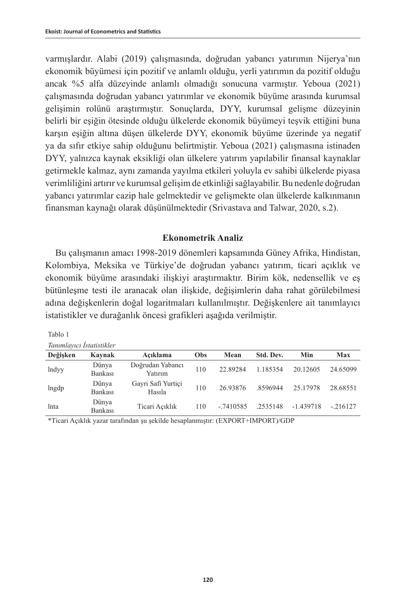varmışlardır. Alabi (2019) çalışmasında, doğrudan yabancı yatırımın Nijerya'nın ekonomik büyümesi için pozitif ve anlamlı olduğu, yerli yatırımın da pozitif olduğu ancak %5 alfa düzeyinde anlamlı olmadığı sonucuna varmıştır. Yeboua (2021) çalışmasında doğrudan yabancı yatırımlar ve ekonomik büyüme arasında kurumsal gelişimin rolünü araştırmıştır. Sonuçlarda, DYY, kurumsal gelişme düzeyinin belirli bir eşiğin ötesinde olduğu ülkelerde ekonomik büyümeyi teşvik ettiğini buna karşın eşiğin altına düşen ülkelerde DYY, ekonomik büyüme üzerinde ya negatif ya da sıfır etkiye sahip olduğunu belirtmiştir. Yeboua (2021) çalışmasına istinaden DYY, yalnızca kaynak eksikliği olan ülkelere yatırım yapılabilir finansal kaynaklar getirmekle kalmaz, aynı zamanda yayılma etkileri yoluyla ev sahibi ülkelerde piyasa verimliliğini artırır ve kurumsal gelişim de etkinliği sağlayabilir. Bu nedenle doğrudan yabancı yatırımlar cazip hale gelmektedir ve gelişmekte olan ülkelerde kalkınmanın finansman kaynağı olarak düşünülmektedir (Srivastava and Talwar, 2020, s.2).

# **Ekonometrik Analiz**

Bu çalışmanın amacı 1998-2019 dönemleri kapsamında Güney Afrika, Hindistan, Kolombiya, Meksika ve Türkiye'de doğrudan yabancı yatırım, ticari açıklık ve ekonomik büyüme arasındaki ilişkiyi araştırmaktır. Birim kök, nedensellik ve eş bütünleşme testi ile aranacak olan ilişkide, değişimlerin daha rahat görülebilmesi adına değişkenlerin doğal logaritmaları kullanılmıştır. Değişkenlere ait tanımlayıcı istatistikler ve durağanlık öncesi grafikleri aşağıda verilmiştir.

|--|--|--|

| Tanımlayıcı İstatistikler |  |
|---------------------------|--|
|---------------------------|--|

| Değisken | Kaynak           | Acıklama                     | Obs | Mean        | Std. Dev. | Min         | <b>Max</b> |
|----------|------------------|------------------------------|-----|-------------|-----------|-------------|------------|
| lndyy    | Dünya<br>Bankası | Doğrudan Yabancı<br>Yatırım  | 110 | 22.89284    | 1.185354  | 20.12605    | 24.65099   |
| lngdp    | Dünya<br>Bankası | Gayri Safi Yurtiçi<br>Hasıla | 110 | 26.93876    | .8596944  | 25.17978    | 28.68551   |
| lnta     | Dünya<br>Bankası | Ticari Açıklık               | 110 | $-.7410585$ | .2535148  | $-1.439718$ | $-.216127$ |
|          |                  |                              |     |             |           |             |            |

\*Ticari Açıklık yazar tarafından şu şekilde hesaplanmıştır: (EXPORT+IMPORT)/GDP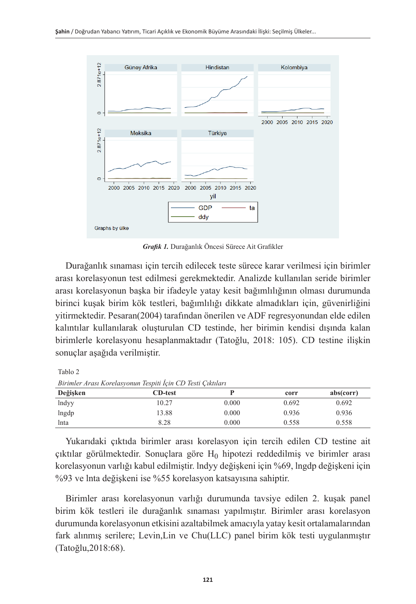

*Grafik 1.* Durağanlık Öncesi Sürece Ait Grafikler

Durağanlık sınaması için tercih edilecek teste sürece karar verilmesi için birimler arası korelasyonun test edilmesi gerekmektedir. Analizde kullanılan seride birimler arası korelasyonun başka bir ifadeyle yatay kesit bağımlılığının olması durumunda birinci kuşak birim kök testleri, bağımlılığı dikkate almadıkları için, güvenirliğini yitirmektedir. Pesaran(2004) tarafından önerilen ve ADF regresyonundan elde edilen kalıntılar kullanılarak oluşturulan CD testinde, her birimin kendisi dışında kalan birimlerle korelasyonu hesaplanmaktadır (Tatoğlu, 2018: 105). CD testine ilişkin sonuçlar aşağıda verilmiştir.

Tablo 2

*Birimler Arası Korelasyonun Tespiti İçin CD Testi Çıktıları*

| <u>Du mnoi in war ivolchua roman voghur için CD vonr Çinniya r</u> |                |       |       |           |  |
|--------------------------------------------------------------------|----------------|-------|-------|-----------|--|
| Değişken                                                           | <b>CD-test</b> |       | corr  | abs(corr) |  |
| lndyy                                                              | 10.27          | 0.000 | 0.692 | 0.692     |  |
| lngdp                                                              | 13.88          | 0.000 | 0.936 | 0.936     |  |
| lnta                                                               | 8.28           | 0.000 | 0.558 | 0.558     |  |

Yukarıdaki çıktıda birimler arası korelasyon için tercih edilen CD testine ait çıktılar görülmektedir. Sonuçlara göre  $H_0$  hipotezi reddedilmiş ve birimler arası korelasyonun varlığı kabul edilmiştir. lndyy değişkeni için %69, lngdp değişkeni için %93 ve lnta değişkeni ise %55 korelasyon katsayısına sahiptir.

Birimler arası korelasyonun varlığı durumunda tavsiye edilen 2. kuşak panel birim kök testleri ile durağanlık sınaması yapılmıştır. Birimler arası korelasyon durumunda korelasyonun etkisini azaltabilmek amacıyla yatay kesit ortalamalarından fark alınmış serilere; Levin,Lin ve Chu(LLC) panel birim kök testi uygulanmıştır (Tatoğlu,2018:68).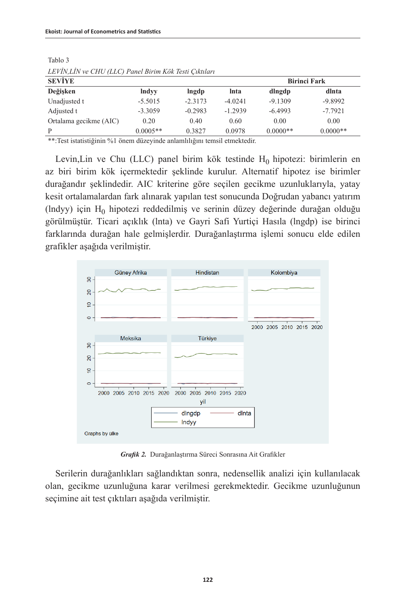| LETTIN, LITTLE CITY (LECT I GREED FURN RON TESH CIMBING) |              |           |                     |            |            |  |
|----------------------------------------------------------|--------------|-----------|---------------------|------------|------------|--|
| <b>SEVIYE</b>                                            |              |           | <b>Birinci Fark</b> |            |            |  |
| Değişken                                                 | <b>Indyy</b> | lngdp     | lnta                | dlngdp     | dlnta      |  |
| Unadjusted t                                             | $-5.5015$    | $-2.3173$ | $-4.0241$           | $-9.1309$  | $-9.8992$  |  |
| Adjusted t                                               | $-3.3059$    | $-0.2983$ | $-1.2939$           | $-6.4993$  | $-7.7921$  |  |
| Ortalama gecikme (AIC)                                   | 0.20         | 0.40      | 0.60                | 0.00       | 0.00       |  |
| P                                                        | $0.0005**$   | 0.3827    | 0.0978              | $0.0000**$ | $0.0000**$ |  |

Tablo 3 *LEVİN,LİN ve CHU (LLC) Panel Birim Kök Testi Çıktıları*

\*\*:Test istatistiğinin %1 önem düzeyinde anlamlılığını temsil etmektedir.

Levin, Lin ve Chu (LLC) panel birim kök testinde  $H_0$  hipotezi: birimlerin en az biri birim kök içermektedir şeklinde kurulur. Alternatif hipotez ise birimler durağandır şeklindedir. AIC kriterine göre seçilen gecikme uzunluklarıyla, yatay kesit ortalamalardan fark alınarak yapılan test sonucunda Doğrudan yabancı yatırım  $(hdyy)$  için  $H_0$  hipotezi reddedilmiş ve serinin düzey değerinde durağan olduğu görülmüştür. Ticari açıklık (lnta) ve Gayri Safi Yurtiçi Hasıla (lngdp) ise birinci farklarında durağan hale gelmişlerdir. Durağanlaştırma işlemi sonucu elde edilen grafikler aşağıda verilmiştir.



*Grafik 2.* Durağanlaştırma Süreci Sonrasına Ait Grafikler

Serilerin durağanlıkları sağlandıktan sonra, nedensellik analizi için kullanılacak olan, gecikme uzunluğuna karar verilmesi gerekmektedir. Gecikme uzunluğunun seçimine ait test çıktıları aşağıda verilmiştir.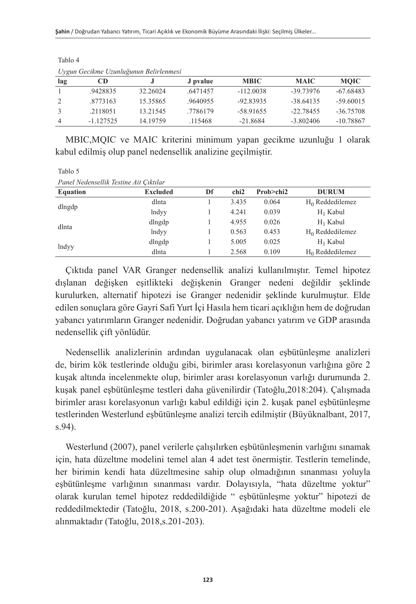| lag | CD          |          | J pvalue | <b>MBIC</b> | <b>MAIC</b> | <b>MOIC</b> |
|-----|-------------|----------|----------|-------------|-------------|-------------|
|     | .9428835    | 32.26024 | .6471457 | $-112.0038$ | $-39.73976$ | $-67.68483$ |
|     | .8773163    | 15.35865 | .9640955 | -92.83935   | $-38.64135$ | $-59.60015$ |
|     | .2118051    | 13.21545 | .7786179 | $-58.91655$ | $-22.78455$ | $-36.75708$ |
| 4   | $-1.127525$ | 14.19759 | .115468  | $-21.8684$  | $-3.802406$ | -10.78867   |

*Uygun Gecikme Uzunluğunun Belirlenmesi*

Tablo 4

MBIC,MQIC ve MAIC kriterini minimum yapan gecikme uzunluğu 1 olarak kabul edilmiş olup panel nedensellik analizine geçilmiştir.

Tablo 5 *Panel Nedensellik Testine Ait Çıktılar*

| <b>Equation</b> | <b>Excluded</b> | Df | chi <sub>2</sub> | Prob>chi2 | <b>DURUM</b>       |
|-----------------|-----------------|----|------------------|-----------|--------------------|
|                 | dlnta           |    | 3.435            | 0.064     | $H_0$ Reddedilemez |
| dlngdp          | lndyy           |    | 4.241            | 0.039     | $H_1$ Kabul        |
| dlnta           | dlngdp          |    | 4.955            | 0.026     | $H_1$ Kabul        |
|                 | lndyy           |    | 0.563            | 0.453     | $H_0$ Reddedilemez |
| lndyy           | dlngdp          |    | 5.005            | 0.025     | $H_1$ Kabul        |
|                 | dlnta           |    | 2.568            | 0.109     | $H_0$ Reddedilemez |

Çıktıda panel VAR Granger nedensellik analizi kullanılmıştır. Temel hipotez dışlanan değişken eşitlikteki değişkenin Granger nedeni değildir şeklinde kurulurken, alternatif hipotezi ise Granger nedenidir şeklinde kurulmuştur. Elde edilen sonuçlara göre Gayri Safi Yurt İçi Hasıla hem ticari açıklığın hem de doğrudan yabancı yatırımların Granger nedenidir. Doğrudan yabancı yatırım ve GDP arasında nedensellik çift yönlüdür.

Nedensellik analizlerinin ardından uygulanacak olan eşbütünleşme analizleri de, birim kök testlerinde olduğu gibi, birimler arası korelasyonun varlığına göre 2 kuşak altında incelenmekte olup, birimler arası korelasyonun varlığı durumunda 2. kuşak panel eşbütünleşme testleri daha güvenilirdir (Tatoğlu,2018:204). Çalışmada birimler arası korelasyonun varlığı kabul edildiği için 2. kuşak panel eşbütünleşme testlerinden Westerlund eşbütünleşme analizi tercih edilmiştir (Büyüknalbant, 2017, s.94).

Westerlund (2007), panel verilerle çalışılırken eşbütünleşmenin varlığını sınamak için, hata düzeltme modelini temel alan 4 adet test önermiştir. Testlerin temelinde, her birimin kendi hata düzeltmesine sahip olup olmadığının sınanması yoluyla eşbütünleşme varlığının sınanması vardır. Dolayısıyla, "hata düzeltme yoktur" olarak kurulan temel hipotez reddedildiğide " eşbütünleşme yoktur" hipotezi de reddedilmektedir (Tatoğlu, 2018, s.200-201). Aşağıdaki hata düzeltme modeli ele alınmaktadır (Tatoğlu, 2018,s.201-203).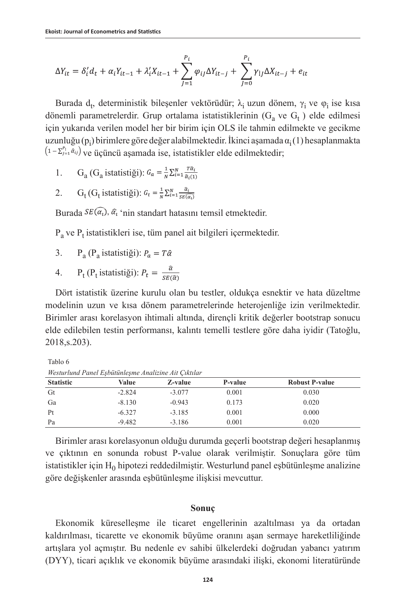$$
\Delta Y_{it} = \delta'_i d_t + \alpha_i Y_{it-1} + \lambda'_i X_{it-1} + \sum_{j=1}^{P_i} \varphi_{ij} \Delta Y_{it-j} + \sum_{j=0}^{P_i} \gamma_{ij} \Delta X_{it-j} + e_{it}
$$

Burada d<sub>t</sub>, deterministik bileşenler vektörüdür;  $\lambda_i$ uzun dönem,  $\gamma_i$  ve  $\varphi_i$  ise kısa dönemli parametrelerdir. Grup ortalama istatistiklerinin  $(G_a$  ve  $G_t$ ) elde edilmesi için yukarıda verilen model her bir birim için OLS ile tahmin edilmekte ve gecikme uzunluğu (p<sub>i</sub>) birimlere göre değer alabilmektedir. İkinci aşamada  $\alpha_{\rm i}(1)$  hesaplanmakta  $(1-\sum_{j=1}^{p_1} a_{ij})$  ve üçüncü aşamada ise, istatistikler elde edilmektedir;

- 1. G<sub>a</sub> (G<sub>a</sub> istatistiği):  $G_a = \frac{1}{N} \sum_{i=1}^N \frac{T \hat{a}_i}{\hat{a}_i(t)}$
- 2. G<sub>t</sub> (G<sub>t</sub> istatistiği):  $G_t = \frac{1}{N} \sum_{i=1}^{N} \frac{\hat{\alpha}_i}{c E(s_i)}$

Burada  $SE(\widehat{\alpha_i}, \widehat{\alpha_i}$  'nin standart hatasını temsil etmektedir.

 $P_a$  ve  $P_t$  istatistikleri ise, tüm panel ait bilgileri içermektedir.

- 3.  $P_a (P_a$  istatistiği):  $P_a = T\hat{\alpha}$
- 4.  $P_t(P_t \text{ istatisti}\text{g}i)$ :

Dört istatistik üzerine kurulu olan bu testler, oldukça esnektir ve hata düzeltme modelinin uzun ve kısa dönem parametrelerinde heterojenliğe izin verilmektedir. Birimler arası korelasyon ihtimali altında, dirençli kritik değerler bootstrap sonucu elde edilebilen testin performansı, kalıntı temelli testlere göre daha iyidir (Tatoğlu, 2018,s.203).

Tablo 6

| <b>Statistic</b> | Value    | Z-value  | P-value | <b>Robust P-value</b> |  |  |
|------------------|----------|----------|---------|-----------------------|--|--|
| Gt               | $-2.824$ | $-3.077$ | 0.001   | 0.030                 |  |  |
| Ga               | $-8.130$ | $-0.943$ | 0.173   | 0.020                 |  |  |
| Pt               | $-6.327$ | $-3.185$ | 0.001   | 0.000                 |  |  |
| Pa               | $-9.482$ | $-3.186$ | 0.001   | 0.020                 |  |  |

*Westurlund Panel Eşbütünleşme Analizine Ait Çıktılar*

Birimler arası korelasyonun olduğu durumda geçerli bootstrap değeri hesaplanmış ve çıktının en sonunda robust P-value olarak verilmiştir. Sonuçlara göre tüm istatistikler için H<sub>0</sub> hipotezi reddedilmiştir. Westurlund panel eşbütünleşme analizine göre değişkenler arasında eşbütünleşme ilişkisi mevcuttur.

#### **Sonuç**

Ekonomik küreselleşme ile ticaret engellerinin azaltılması ya da ortadan kaldırılması, ticarette ve ekonomik büyüme oranını aşan sermaye hareketliliğinde artışlara yol açmıştır. Bu nedenle ev sahibi ülkelerdeki doğrudan yabancı yatırım (DYY), ticari açıklık ve ekonomik büyüme arasındaki ilişki, ekonomi literatüründe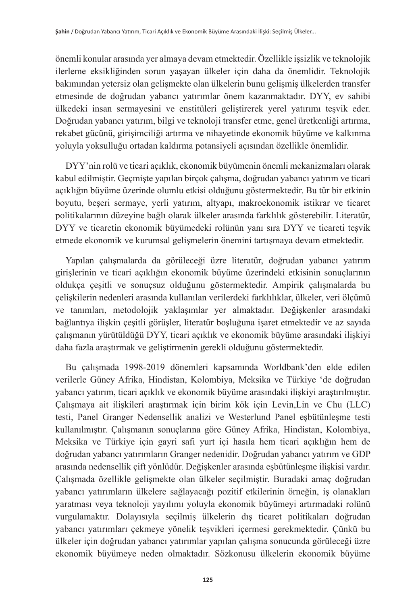önemli konular arasında yer almaya devam etmektedir. Özellikle işsizlik ve teknolojik ilerleme eksikliğinden sorun yaşayan ülkeler için daha da önemlidir. Teknolojik bakımından yetersiz olan gelişmekte olan ülkelerin bunu gelişmiş ülkelerden transfer etmesinde de doğrudan yabancı yatırımlar önem kazanmaktadır. DYY, ev sahibi ülkedeki insan sermayesini ve enstitüleri geliştirerek yerel yatırımı teşvik eder. Doğrudan yabancı yatırım, bilgi ve teknoloji transfer etme, genel üretkenliği artırma, rekabet gücünü, girişimciliği artırma ve nihayetinde ekonomik büyüme ve kalkınma yoluyla yoksulluğu ortadan kaldırma potansiyeli açısından özellikle önemlidir.

DYY'nin rolü ve ticari açıklık, ekonomik büyümenin önemli mekanizmaları olarak kabul edilmiştir. Geçmişte yapılan birçok çalışma, doğrudan yabancı yatırım ve ticari açıklığın büyüme üzerinde olumlu etkisi olduğunu göstermektedir. Bu tür bir etkinin boyutu, beşeri sermaye, yerli yatırım, altyapı, makroekonomik istikrar ve ticaret politikalarının düzeyine bağlı olarak ülkeler arasında farklılık gösterebilir. Literatür, DYY ve ticaretin ekonomik büyümedeki rolünün yanı sıra DYY ve ticareti teşvik etmede ekonomik ve kurumsal gelişmelerin önemini tartışmaya devam etmektedir.

Yapılan çalışmalarda da görüleceği üzre literatür, doğrudan yabancı yatırım girişlerinin ve ticari açıklığın ekonomik büyüme üzerindeki etkisinin sonuçlarının oldukça çeşitli ve sonuçsuz olduğunu göstermektedir. Ampirik çalışmalarda bu çelişkilerin nedenleri arasında kullanılan verilerdeki farklılıklar, ülkeler, veri ölçümü ve tanımları, metodolojik yaklaşımlar yer almaktadır. Değişkenler arasındaki bağlantıya ilişkin çeşitli görüşler, literatür boşluğuna işaret etmektedir ve az sayıda çalışmanın yürütüldüğü DYY, ticari açıklık ve ekonomik büyüme arasındaki ilişkiyi daha fazla araştırmak ve geliştirmenin gerekli olduğunu göstermektedir.

Bu çalışmada 1998-2019 dönemleri kapsamında Worldbank'den elde edilen verilerle Güney Afrika, Hindistan, Kolombiya, Meksika ve Türkiye 'de doğrudan yabancı yatırım, ticari açıklık ve ekonomik büyüme arasındaki ilişkiyi araştırılmıştır. Çalışmaya ait ilişkileri araştırmak için birim kök için Levin,Lin ve Chu (LLC) testi, Panel Granger Nedensellik analizi ve Westerlund Panel eşbütünleşme testi kullanılmıştır. Çalışmanın sonuçlarına göre Güney Afrika, Hindistan, Kolombiya, Meksika ve Türkiye için gayri safi yurt içi hasıla hem ticari açıklığın hem de doğrudan yabancı yatırımların Granger nedenidir. Doğrudan yabancı yatırım ve GDP arasında nedensellik çift yönlüdür. Değişkenler arasında eşbütünleşme ilişkisi vardır. Çalışmada özellikle gelişmekte olan ülkeler seçilmiştir. Buradaki amaç doğrudan yabancı yatırımların ülkelere sağlayacağı pozitif etkilerinin örneğin, iş olanakları yaratması veya teknoloji yayılımı yoluyla ekonomik büyümeyi artırmadaki rolünü vurgulamaktır. Dolayısıyla seçilmiş ülkelerin dış ticaret politikaları doğrudan yabancı yatırımları çekmeye yönelik teşvikleri içermesi gerekmektedir. Çünkü bu ülkeler için doğrudan yabancı yatırımlar yapılan çalışma sonucunda görüleceği üzre ekonomik büyümeye neden olmaktadır. Sözkonusu ülkelerin ekonomik büyüme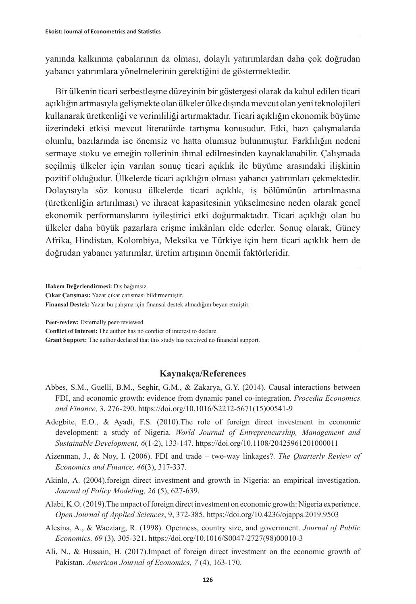yanında kalkınma çabalarının da olması, dolaylı yatırımlardan daha çok doğrudan yabancı yatırımlara yönelmelerinin gerektiğini de göstermektedir.

Bir ülkenin ticari serbestleşme düzeyinin bir göstergesi olarak da kabul edilen ticari açıklığın artmasıyla gelişmekte olan ülkeler ülke dışında mevcut olan yeni teknolojileri kullanarak üretkenliği ve verimliliği artırmaktadır. Ticari açıklığın ekonomik büyüme üzerindeki etkisi mevcut literatürde tartışma konusudur. Etki, bazı çalışmalarda olumlu, bazılarında ise önemsiz ve hatta olumsuz bulunmuştur. Farklılığın nedeni sermaye stoku ve emeğin rollerinin ihmal edilmesinden kaynaklanabilir. Çalışmada seçilmiş ülkeler için varılan sonuç ticari açıklık ile büyüme arasındaki ilişkinin pozitif olduğudur. Ülkelerde ticari açıklığın olması yabancı yatırımları çekmektedir. Dolayısıyla söz konusu ülkelerde ticari açıklık, iş bölümünün artırılmasına (üretkenliğin artırılması) ve ihracat kapasitesinin yükselmesine neden olarak genel ekonomik performanslarını iyileştirici etki doğurmaktadır. Ticari açıklığı olan bu ülkeler daha büyük pazarlara erişme imkânları elde ederler. Sonuç olarak, Güney Afrika, Hindistan, Kolombiya, Meksika ve Türkiye için hem ticari açıklık hem de doğrudan yabancı yatırımlar, üretim artışının önemli faktörleridir.

**Hakem Değerlendirmesi:** Dış bağımsız.

**Çıkar Çatışması:** Yazar çıkar çatışması bildirmemiştir. **Finansal Destek:** Yazar bu çalışma için finansal destek almadığını beyan etmiştir.

**Peer-review:** Externally peer-reviewed.

**Conflict of Interest:** The author has no conflict of interest to declare.

**Grant Support:** The author declared that this study has received no financial support.

#### **Kaynakça/References**

- Abbes, S.M., Guelli, B.M., Seghir, G.M., & Zakarya, G.Y. (2014). Causal interactions between FDI, and economic growth: evidence from dynamic panel co-integration. *Procedia Economics and Finance,* 3, 276-290. [https://doi.org/10.1016/S2212-5671\(15\)00541-9](https://doi.org/10.1016/S2212-5671(15)00541-9)
- Adegbite, E.O., & Ayadi, F.S. (2010).The role of foreign direct investment in economic development: a study of Nigeria. *World Journal of Entrepreneurship, Management and Sustainable Development, 6*(1-2), 133-147.<https://doi.org/10.1108/20425961201000011>
- Aizenman, J., & Noy, I. (2006). FDI and trade two-way linkages?. *The Quarterly Review of Economics and Finance, 46*(3), 317-337.
- Akinlo, A. (2004).foreign direct investment and growth in Nigeria: an empirical investigation. *Journal of Policy Modeling, 26* (5), 627-639.
- Alabi, K.O. (2019).The ımpact of foreign direct investment on economic growth: Nigeria experience. *Open Journal of Applied Sciences*, 9, 372-385. [https://doi.org/10.4236/ojapps.2019.9503](https://doi.org/10.4236/ojapps.2019.95031)
- Alesina, A., & Wacziarg, R. (1998). Openness, country size, and government. *Journal of Public Economics, 69* (3), 305-321. [https://doi.org/10.1016/S0047-2727\(98\)00010-3](https://doi.org/10.1016/S0047-2727(98)00010-3)
- Ali, N., & Hussain, H. (2017).Impact of foreign direct investment on the economic growth of Pakistan. *American Journal of Economics, 7* (4), 163-170.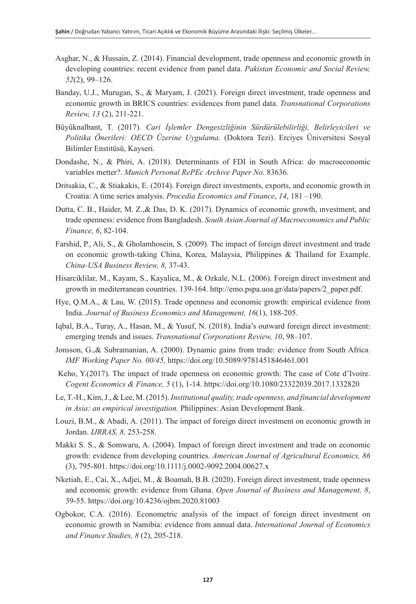- Asghar, N., & Hussain, Z. (2014). Financial development, trade openness and economic growth in developing countries: recent evidence from panel data. *Pakistan Economic and Social Review, 52*(2), 99–126.
- Banday, U.J., Murugan, S., & Maryam, J. (2021). Foreign direct investment, trade openness and economic growth in BRICS countries: evidences from panel data. *Transnational Corporations Review, 13* (2), 211-221.
- Büyüknalbant, T. (2017). *Cari İşlemler Dengesizliğinin Sürdürülebilirliği, Belirleyicileri ve Politika Önerileri: OECD Üzerine Uygulama*. (Doktora Tezi). Erciyes Üniversitesi Sosyal Bilimler Enstitüsü, Kayseri.
- Dondashe, N., & Phiri, A. (2018). Determinants of FDI in South Africa: do macroeconomic variables metter?. *Munich Personal RePEc Archive Paper No*. 83636.
- Dritsakia, C., & Stiakakis, E. (2014). Foreign direct investments, exports, and economic growth in Croatia: A time series analysis. *Procedia Economics and Finance*, *14*, 181 –190.
- Dutta, C. B., Haider, M. Z.,& Das, D. K. (2017). Dynamics of economic growth, ınvestment, and trade openness: evidence from Bangladesh. *South Asian Journal of Macroeconomics and Public Finance, 6*, 82-104.
- Farshid, P., Ali, S., & Gholamhosein, S. (2009). The impact of foreign direct investment and trade on economic growth-taking China, Korea, Malaysia, Philippines & Thailand for Example. *China-USA Business Review, 8,* 37-43.
- Hisarciklilar, M., Kayam, S., Kayalica, M., & Ozkale, N.L. (2006). Foreign direct investment and growth in mediterranean countries. 139-164. [http://emo.pspa.uoa.gr/data/papers/2\\_paper.pdf.](http://emo.pspa.uoa.gr/data/papers/2_paper.pdf)
- Hye, Q.M.A., & Lau, W. (2015). Trade openness and economic growth: empirical evidence from India. *Journal of Business Economics and Management, 16*(1), 188-205.
- Iqbal, B.A., Turay, A., Hasan, M., & Yusuf, N. (2018). India's outward foreign direct investment: emerging trends and issues. *Transnational Corporations Review, 10*, 98–107.
- Jonsson, G.,& Subramanian, A. (2000). Dynamic gains from trade: evidence from South Africa. *IMF Working Paper No. 00/45,* <https://doi.org/10.5089/9781451846461.001>
- Keho, Y.(2017). The impact of trade openness on economic growth: The case of Cote d'Ivoire. *Cogent Economics & Finance, 5* (1), 1-14. <https://doi.org/10.1080/23322039.2017.1332820>
- Le, T.-H., Kim, J., & Lee, M. (2015). *Institutional quality, trade openness, and financial development in Asia: an empirical investigation.* Philippines: Asian Development Bank.
- Louzi, B.M., & Abadi, A. (2011). The impact of foreign direct investment on economic growth in Jordan. *IJRRAS, 8,* 253-258.
- Makki S. S., & Somwaru, A. (2004). Impact of foreign direct investment and trade on economic growth: evidence from developing countries. *American Journal of Agricultural Economics, 86* (3), 795-801.<https://doi.org/10.1111/j.0002-9092.2004.00627.x>
- Nketiah, E., Cai, X., Adjei, M., & Boamah, B.B. (2020). Foreign direct investment, trade openness and economic growth: evidence from Ghana. *Open Journal of Business and Management, 8*, 39-55.<https://doi.org/10.4236/ojbm.2020.81003>
- Ogbokor, C.A. (2016). Econometric analysis of the impact of foreign direct investment on economic growth in Namibia: evidence from annual data. *International Journal of Economics and Finance Studies, 8* (2), 205-218.